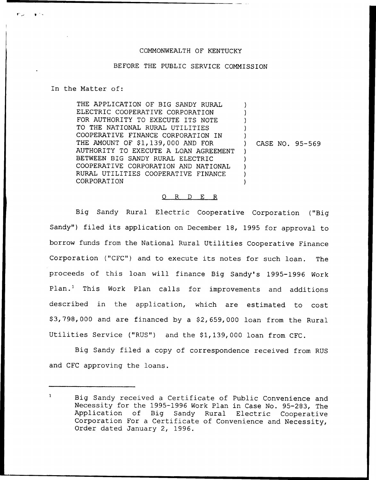## COMMONWEALTH OF KENTUCKY

## BEFORE THE PUBLIC SERVICE COMMISSION

## In the Matter of:

THE APPLICATION OF BIG SANDY RURAL ELECTRIC COOPERATIVE CORPORATION FOR AUTHORITY TO EXECUTE ITS NOTE TO THE NATIONAL RURAL UTILITIES COOPERATIVE FINANCE CORPORATION IN THE AMOUNT OF \$1,139,000 AND FOR AUTHORITY TO EXECUTE A LOAN AGREEMENT BETWEEN BIG SANDY RURAL ELECTRIC COOPERATIVE CORPORATION AND NATIONAL RURAL UTILITIES COOPERATIVE FINANCE CORPORATION ) ) ) ) ) ) CASE NO. 95-569  $\lambda$ ) ) ) )

## 0 R <sup>D</sup> E R

Big Sandy Rural Electric Cooperative Corporation ("Big Sandy") filed its application on December 18, 1995 for approval to borrow funds from the National Rural Utilities Cooperative Finance Corporation ("CFC") and to execute its notes for such loan. The proceeds of this loan will finance Big Sandy's 1995-1996 Work Plan.<sup>1</sup> This Work Plan calls for improvements and additions described in the application, which are estimated to cost \$3,798,000 and are financed by a \$2,659,000 loan from the Rural Utilities Service ("RUS") and the \$1,139,000 loan from CFC.

Big Sandy filed a copy of correspondence received from RUS and CFC approving the loans.

 $\mathbf{1}$ Big Sandy received a Certificate of Public Convenience and Necessity for the 1995-1996 Work Plan in Case No. 95-283, The Application of Big Sandy Rural Electric Cooperative Corporation For a Certificate of Convenience and Necessity, Order dated January 2, 1996.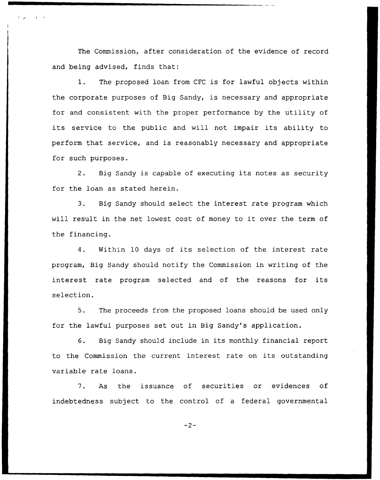The Commission, after consideration of the evidence of record and being advised, finds that:

1. The proposed loan from CFC is for lawful objects within the corporate purposes of Big Sandy, is necessary and appropriate for and consistent with the proper performance by the utility of its service to the public and will not impair its ability to perform that service, and is reasonably necessary and appropriate for such purposes.

2. Big Sandy is capable of executing its notes as security for the loan as stated herein.

3. Big Sandy should select the interest rate program which will result in the net lowest cost of money to it over the term of the financing.

4. Within 10 days of its selection of the interest rate program, Big Sandy should notify the Commission in writing of the interest rate program selected and of the reasons for its selection.

5. The proceeds from the proposed loans should be used only for the lawful purposes set out in Big Sandy's application.

6. Big Sandy should include in its monthly financial report to the Commission the current interest rate on its outstanding variable rate loans.

7. As the issuance of securities or evidences of indebtedness subject to the control of a federal governmental

 $-2-$